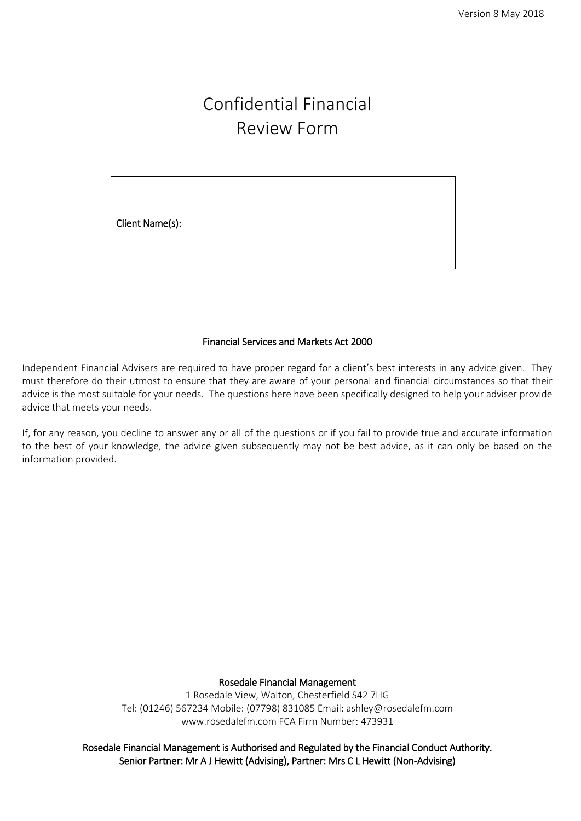# Confidential Financial Review Form

l,

Client Name(s):

#### Financial Services and Markets Act 2000

Independent Financial Advisers are required to have proper regard for a client's best interests in any advice given. They must therefore do their utmost to ensure that they are aware of your personal and financial circumstances so that their advice is the most suitable for your needs. The questions here have been specifically designed to help your adviser provide advice that meets your needs.

If, for any reason, you decline to answer any or all of the questions or if you fail to provide true and accurate information to the best of your knowledge, the advice given subsequently may not be best advice, as it can only be based on the information provided.

> Rosedale Financial Management 1 Rosedale View, Walton, Chesterfield S42 7HG Tel: (01246) 567234 Mobile: (07798) 831085 Email: ashley@rosedalefm.com www.rosedalefm.com FCA Firm Number: 473931

Rosedale Financial Management is Authorised and Regulated by the Financial Conduct Authority. Senior Partner: Mr A J Hewitt (Advising), Partner: Mrs C L Hewitt (Non-Advising)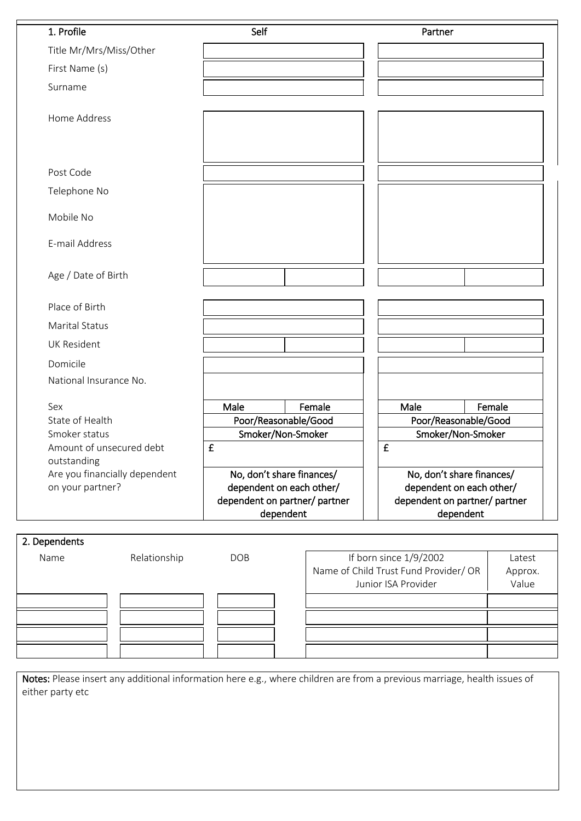| 1. Profile                                        | Self                 |                                                                                                     | Partner |                                                                                                     |
|---------------------------------------------------|----------------------|-----------------------------------------------------------------------------------------------------|---------|-----------------------------------------------------------------------------------------------------|
| Title Mr/Mrs/Miss/Other                           |                      |                                                                                                     |         |                                                                                                     |
| First Name (s)                                    |                      |                                                                                                     |         |                                                                                                     |
| Surname                                           |                      |                                                                                                     |         |                                                                                                     |
| Home Address                                      |                      |                                                                                                     |         |                                                                                                     |
| Post Code                                         |                      |                                                                                                     |         |                                                                                                     |
| Telephone No                                      |                      |                                                                                                     |         |                                                                                                     |
| Mobile No                                         |                      |                                                                                                     |         |                                                                                                     |
| E-mail Address                                    |                      |                                                                                                     |         |                                                                                                     |
| Age / Date of Birth                               |                      |                                                                                                     |         |                                                                                                     |
| Place of Birth                                    |                      |                                                                                                     |         |                                                                                                     |
| <b>Marital Status</b>                             |                      |                                                                                                     |         |                                                                                                     |
| <b>UK Resident</b>                                |                      |                                                                                                     |         |                                                                                                     |
| Domicile                                          |                      |                                                                                                     |         |                                                                                                     |
| National Insurance No.                            |                      |                                                                                                     |         |                                                                                                     |
| Sex                                               | Male                 | Female                                                                                              | Male    | Female                                                                                              |
| State of Health                                   | Poor/Reasonable/Good |                                                                                                     |         | Poor/Reasonable/Good                                                                                |
| Smoker status                                     | Smoker/Non-Smoker    |                                                                                                     |         | Smoker/Non-Smoker                                                                                   |
| Amount of unsecured debt<br>outstanding           | £                    |                                                                                                     | £       |                                                                                                     |
| Are you financially dependent<br>on your partner? |                      | No, don't share finances/<br>dependent on each other/<br>dependent on partner/ partner<br>dependent |         | No, don't share finances/<br>dependent on each other/<br>dependent on partner/ partner<br>dependent |

#### 2. Dependents

| Name | Relationship | <b>DOB</b> | If born since 1/9/2002<br>Name of Child Trust Fund Provider/ OR<br>Junior ISA Provider | Latest<br>Approx.<br>Value |
|------|--------------|------------|----------------------------------------------------------------------------------------|----------------------------|
|      |              |            |                                                                                        |                            |
|      |              |            |                                                                                        |                            |
|      |              |            |                                                                                        |                            |
|      |              |            |                                                                                        |                            |

Notes: Please insert any additional information here e.g., where children are from a previous marriage, health issues of either party etc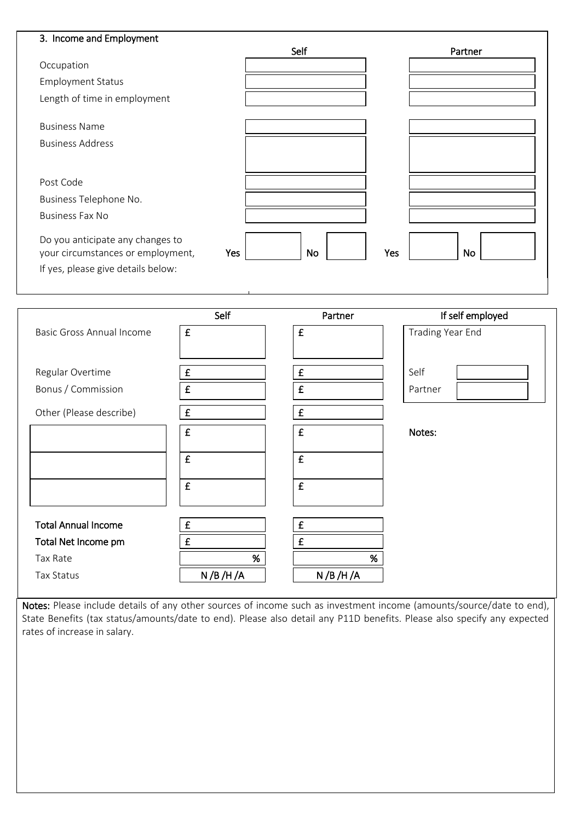| 3. Income and Employment                                              | Self      | Partner   |
|-----------------------------------------------------------------------|-----------|-----------|
| Occupation                                                            |           |           |
| <b>Employment Status</b>                                              |           |           |
| Length of time in employment                                          |           |           |
| <b>Business Name</b>                                                  |           |           |
| <b>Business Address</b>                                               |           |           |
|                                                                       |           |           |
| Post Code                                                             |           |           |
| Business Telephone No.                                                |           |           |
| <b>Business Fax No</b>                                                |           |           |
| Do you anticipate any changes to<br>your circumstances or employment, | No<br>Yes | Yes<br>No |
| If yes, please give details below:                                    |           |           |

I

|                                  | Self               | Partner            | If self employed |
|----------------------------------|--------------------|--------------------|------------------|
| <b>Basic Gross Annual Income</b> | £                  | $\pmb{\mathsf{f}}$ | Trading Year End |
|                                  |                    |                    |                  |
| Regular Overtime                 | $\pmb{\mathsf{E}}$ | $\pmb{\mathsf{f}}$ | Self             |
| Bonus / Commission               | £                  | £                  | Partner          |
| Other (Please describe)          | £                  | $\pmb{\mathsf{f}}$ |                  |
|                                  | £                  | $\pmb{\mathsf{f}}$ | Notes:           |
|                                  | £                  | $\pmb{\mathsf{f}}$ |                  |
|                                  | $\pmb{\mathsf{f}}$ | $\pmb{\mathsf{f}}$ |                  |
|                                  |                    |                    |                  |
| <b>Total Annual Income</b>       | $\pmb{\mathsf{f}}$ | £                  |                  |
| Total Net Income pm              | £                  | £                  |                  |
| Tax Rate                         | %                  | $\%$               |                  |
| Tax Status                       | N / B / H / A      | N/B/H/A            |                  |

Notes: Please include details of any other sources of income such as investment income (amounts/source/date to end), State Benefits (tax status/amounts/date to end). Please also detail any P11D benefits. Please also specify any expected rates of increase in salary.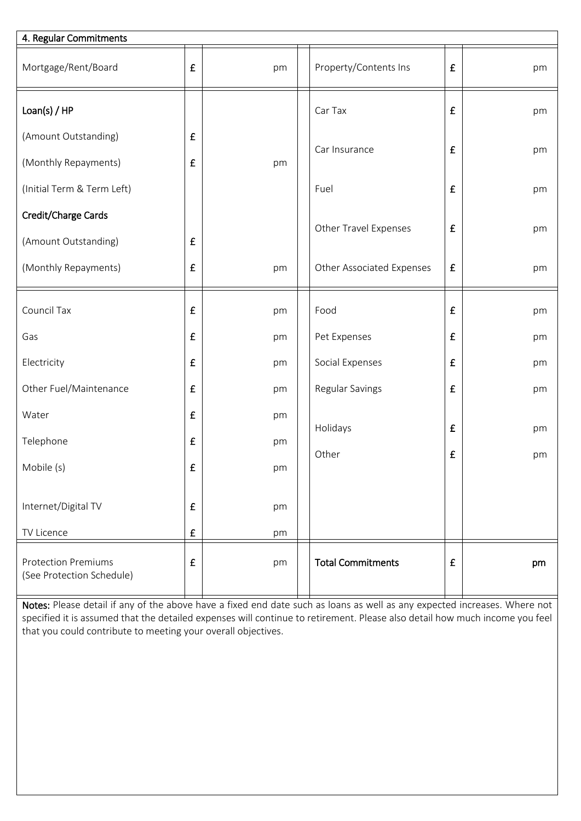| 4. Regular Commitments                                  |                    |    |                           |   |    |
|---------------------------------------------------------|--------------------|----|---------------------------|---|----|
| Mortgage/Rent/Board                                     | £                  | pm | Property/Contents Ins     | £ | pm |
| Loan(s) / HP                                            |                    |    | Car Tax                   | £ | pm |
| (Amount Outstanding)                                    | £                  |    | Car Insurance             | £ |    |
| (Monthly Repayments)                                    | $\pmb{\mathsf{f}}$ | pm |                           |   | pm |
| (Initial Term & Term Left)                              |                    |    | Fuel                      | £ | pm |
| Credit/Charge Cards                                     |                    |    |                           |   |    |
| (Amount Outstanding)                                    | £                  |    | Other Travel Expenses     | £ | pm |
| (Monthly Repayments)                                    | $\pmb{\mathsf{f}}$ | pm | Other Associated Expenses | £ | pm |
| Council Tax                                             | £                  | pm | Food                      | £ | pm |
| Gas                                                     | $\pmb{\mathsf{f}}$ | pm | Pet Expenses              | £ | pm |
| Electricity                                             | £                  | pm | Social Expenses           | £ | pm |
| Other Fuel/Maintenance                                  | £                  | pm | Regular Savings           | £ | pm |
| Water                                                   | $\pmb{\mathsf{f}}$ | pm |                           |   |    |
| Telephone                                               | £                  | pm | Holidays                  | £ | pm |
| Mobile (s)                                              | £                  | pm | Other                     | £ | pm |
|                                                         |                    |    |                           |   |    |
| Internet/Digital TV                                     | £                  | pm |                           |   |    |
| TV Licence                                              | $\pmb{\mathsf{f}}$ | pm |                           |   |    |
| <b>Protection Premiums</b><br>(See Protection Schedule) | $\pmb{\mathsf{f}}$ | pm | <b>Total Commitments</b>  | £ | pm |

Notes: Please detail if any of the above have a fixed end date such as loans as well as any expected increases. Where not specified it is assumed that the detailed expenses will continue to retirement. Please also detail how much income you feel that you could contribute to meeting your overall objectives.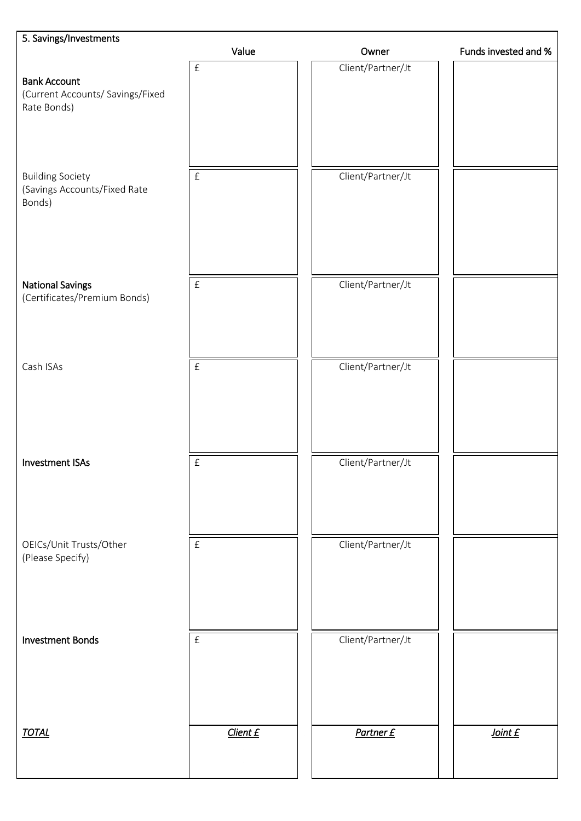| 5. Savings/Investments                                                 |                           |                   |                      |
|------------------------------------------------------------------------|---------------------------|-------------------|----------------------|
|                                                                        | Value                     | Owner             | Funds invested and % |
| <b>Bank Account</b><br>(Current Accounts/ Savings/Fixed<br>Rate Bonds) | $\pounds$                 | Client/Partner/Jt |                      |
| <b>Building Society</b><br>(Savings Accounts/Fixed Rate<br>Bonds)      | $\pounds$                 | Client/Partner/Jt |                      |
| <b>National Savings</b><br>(Certificates/Premium Bonds)                | $\boldsymbol{\mathrm{f}}$ | Client/Partner/Jt |                      |
| Cash ISAs                                                              | $\ensuremath{\mathsf{f}}$ | Client/Partner/Jt |                      |
| <b>Investment ISAs</b>                                                 | $\pounds$                 | Client/Partner/Jt |                      |
| OEICs/Unit Trusts/Other<br>(Please Specify)                            | $\boldsymbol{\mathrm{f}}$ | Client/Partner/Jt |                      |
| <b>Investment Bonds</b>                                                | $\pounds$                 | Client/Partner/Jt |                      |
| <b>TOTAL</b>                                                           | Client £                  | Partner £         | Joint £              |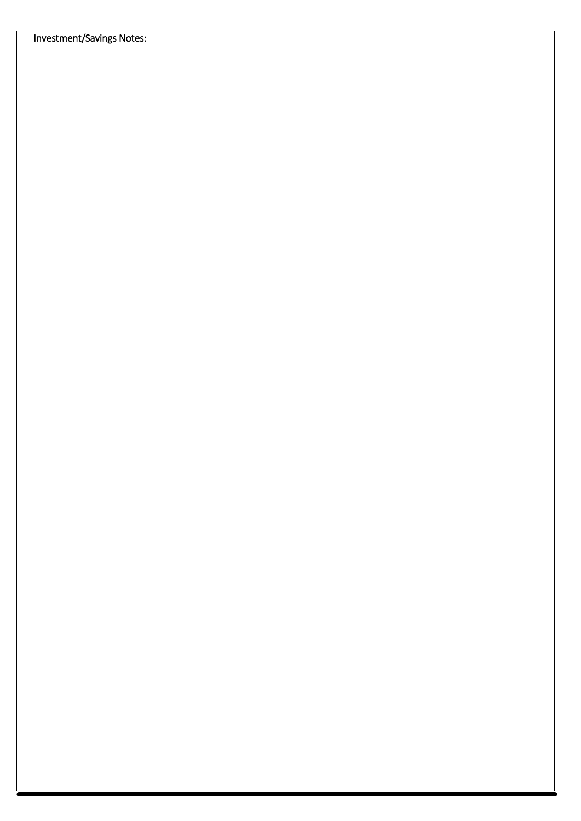Investment/Savings Notes: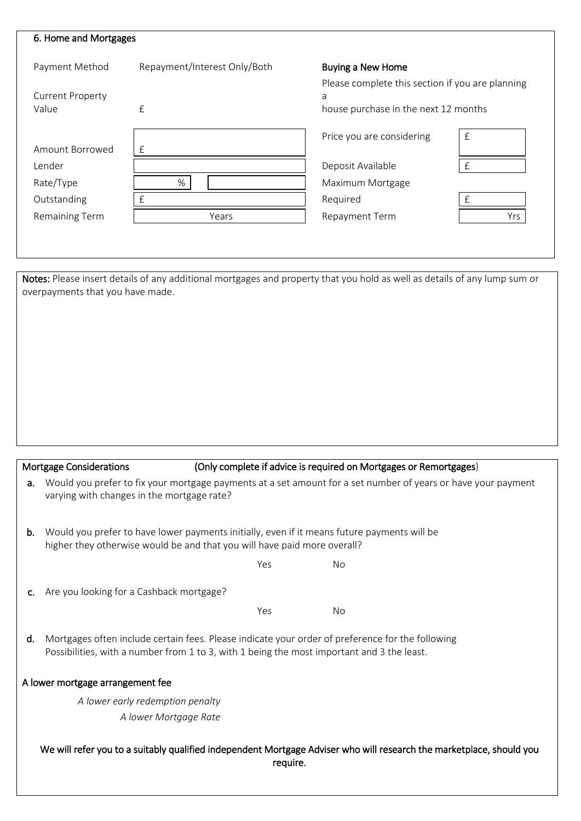| 6. Home and Mortgages   |                              |                                                  |              |
|-------------------------|------------------------------|--------------------------------------------------|--------------|
| Payment Method          | Repayment/Interest Only/Both | <b>Buying a New Home</b>                         |              |
|                         |                              | Please complete this section if you are planning |              |
| <b>Current Property</b> |                              | a                                                |              |
| Value                   | $\mathbf{f}$                 | house purchase in the next 12 months             |              |
|                         |                              | Price you are considering                        | $\pounds$    |
| Amount Borrowed         | £                            |                                                  |              |
| Lender                  |                              | Deposit Available                                | $\mathbf{f}$ |
| Rate/Type               | %                            | Maximum Mortgage                                 |              |
| Outstanding             | $\mathbf{f}$                 | Required                                         | $\mathsf{f}$ |
| Remaining Term          | Years                        | Repayment Term                                   | Yrs          |

Notes: Please insert details of any additional mortgages and property that you hold as well as details of any lump sum or overpayments that you have made.

I

|                | <b>Mortgage Considerations</b>                                                                                                                                                                 |  |     |           | (Only complete if advice is required on Mortgages or Remortgages) |  |
|----------------|------------------------------------------------------------------------------------------------------------------------------------------------------------------------------------------------|--|-----|-----------|-------------------------------------------------------------------|--|
| а.             | Would you prefer to fix your mortgage payments at a set amount for a set number of years or have your payment<br>varying with changes in the mortgage rate?                                    |  |     |           |                                                                   |  |
| b.             | Would you prefer to have lower payments initially, even if it means future payments will be<br>higher they otherwise would be and that you will have paid more overall?                        |  |     |           |                                                                   |  |
|                |                                                                                                                                                                                                |  | Yes | No.       |                                                                   |  |
| $\mathsf{C}$ . | Are you looking for a Cashback mortgage?                                                                                                                                                       |  |     |           |                                                                   |  |
|                |                                                                                                                                                                                                |  | Yes | <b>No</b> |                                                                   |  |
| d.             | Mortgages often include certain fees. Please indicate your order of preference for the following<br>Possibilities, with a number from 1 to 3, with 1 being the most important and 3 the least. |  |     |           |                                                                   |  |
|                | A lower mortgage arrangement fee                                                                                                                                                               |  |     |           |                                                                   |  |
|                | A lower early redemption penalty                                                                                                                                                               |  |     |           |                                                                   |  |
|                | A lower Mortgage Rate                                                                                                                                                                          |  |     |           |                                                                   |  |
|                | We will refer you to a suitably qualified independent Mortgage Adviser who will research the marketplace, should you<br>require.                                                               |  |     |           |                                                                   |  |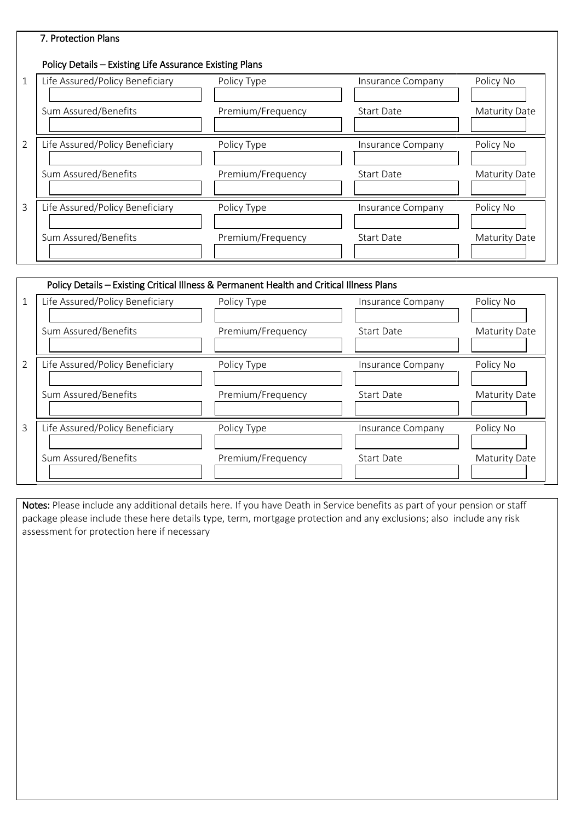# 7. Protection Plans

# Policy Details – Existing Life Assurance Existing Plans

| $\mathbf{1}$   | Life Assured/Policy Beneficiary | Policy Type       | Insurance Company        | Policy No            |
|----------------|---------------------------------|-------------------|--------------------------|----------------------|
|                | Sum Assured/Benefits            | Premium/Frequency | Start Date               | <b>Maturity Date</b> |
| $\overline{2}$ | Life Assured/Policy Beneficiary | Policy Type       | Insurance Company        | Policy No            |
|                | Sum Assured/Benefits            | Premium/Frequency | <b>Start Date</b>        | <b>Maturity Date</b> |
| 3              | Life Assured/Policy Beneficiary | Policy Type       | <b>Insurance Company</b> | Policy No            |
|                | Sum Assured/Benefits            | Premium/Frequency | <b>Start Date</b>        | Maturity Date        |

|                | Policy Details – Existing Critical Illness & Permanent Health and Critical Illness Plans |                   |                   |                      |  |  |  |  |
|----------------|------------------------------------------------------------------------------------------|-------------------|-------------------|----------------------|--|--|--|--|
|                | Life Assured/Policy Beneficiary                                                          | Policy Type       | Insurance Company | Policy No            |  |  |  |  |
|                | Sum Assured/Benefits                                                                     | Premium/Frequency | <b>Start Date</b> | <b>Maturity Date</b> |  |  |  |  |
| $\overline{2}$ | Life Assured/Policy Beneficiary                                                          | Policy Type       | Insurance Company | Policy No            |  |  |  |  |
|                | Sum Assured/Benefits                                                                     | Premium/Frequency | Start Date        | <b>Maturity Date</b> |  |  |  |  |
| 3              | Life Assured/Policy Beneficiary                                                          | Policy Type       | Insurance Company | Policy No            |  |  |  |  |
|                | Sum Assured/Benefits                                                                     | Premium/Frequency | Start Date        | Maturity Date        |  |  |  |  |

Notes: Please include any additional details here. If you have Death in Service benefits as part of your pension or staff package please include these here details type, term, mortgage protection and any exclusions; also include any risk assessment for protection here if necessary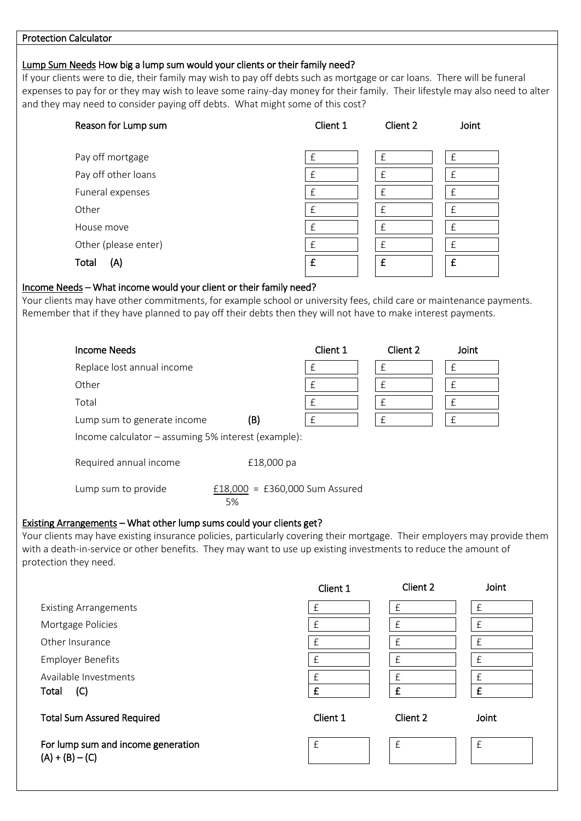#### Protection Calculator

#### Lump Sum Needs How big a lump sum would your clients or their family need?

If your clients were to die, their family may wish to pay off debts such as mortgage or car loans. There will be funeral expenses to pay for or they may wish to leave some rainy-day money for their family. Their lifestyle may also need to alter and they may need to consider paying off debts. What might some of this cost?

| Reason for Lump sum  | Client 1 | Client 2     | Joint        |
|----------------------|----------|--------------|--------------|
|                      |          |              |              |
| Pay off mortgage     | £        | £            | £            |
| Pay off other loans  | £        | £            | £            |
| Funeral expenses     | £        | £            | $\mathsf{f}$ |
| Other                | f        | $\mathsf{f}$ | $\mathsf{f}$ |
| House move           | f        | £            | $\mathsf{f}$ |
| Other (please enter) | £        | £            | £            |
| Total<br>(A)         | £        | £            | £            |

#### Income Needs – What income would your client or their family need?

Your clients may have other commitments, for example school or university fees, child care or maintenance payments. Remember that if they have planned to pay off their debts then they will not have to make interest payments.

| <b>Income Needs</b>                                                  |                                      | Client 1 | Client 2  | Joint |  |
|----------------------------------------------------------------------|--------------------------------------|----------|-----------|-------|--|
| Replace lost annual income                                           |                                      | £        | £         |       |  |
| Other                                                                |                                      | £        | £         | f     |  |
| Total                                                                |                                      | £        | $\pounds$ |       |  |
| Lump sum to generate income                                          | (B)                                  | £        | £         | £     |  |
| Income calculator – assuming 5% interest (example):                  |                                      |          |           |       |  |
| Required annual income                                               | £18,000 pa                           |          |           |       |  |
| Lump sum to provide                                                  | £18,000 = £360,000 Sum Assured<br>5% |          |           |       |  |
| Existing Arrangements - What other lump sums could your clients get? |                                      |          |           |       |  |

## Your clients may have existing insurance policies, particularly covering their mortgage. Their employers may provide them with a death-in-service or other benefits. They may want to use up existing investments to reduce the amount of protection they need.

|                                                         | Client 1 | Client 2     | Joint        |
|---------------------------------------------------------|----------|--------------|--------------|
| <b>Existing Arrangements</b>                            | £        | £            | £            |
| Mortgage Policies                                       | £        |              |              |
| Other Insurance                                         | £        | $\mathsf{f}$ | $\mathsf{f}$ |
| <b>Employer Benefits</b>                                | £        |              |              |
| Available Investments                                   | £        | f            | f            |
| (C)<br>Total                                            | £        | f            | £            |
| <b>Total Sum Assured Required</b>                       | Client 1 | Client 2     | Joint        |
| For lump sum and income generation<br>$(A) + (B) - (C)$ | £        | £            | £            |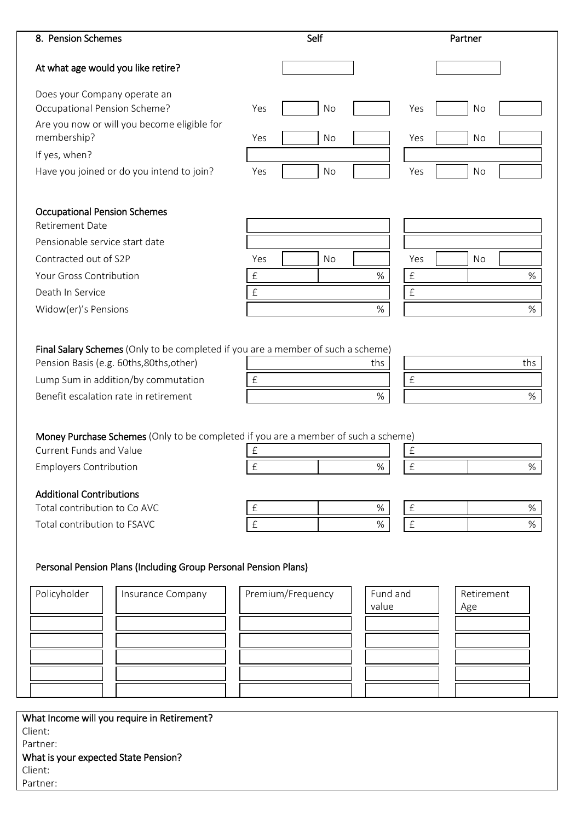| Does your Company operate an<br>Yes<br>No<br>Yes<br>No<br>Yes<br>No<br>Yes<br>No<br>Yes<br>No<br>Yes<br>No<br><b>Occupational Pension Schemes</b><br>Yes<br>No<br>Yes<br>No<br>$\ensuremath{\mathsf{f}}$<br>$\pounds$<br>$\%$<br>$\%$<br>$\hat{E}$<br>$\pounds$<br>$\%$<br>$\%$<br>Final Salary Schemes (Only to be completed if you are a member of such a scheme)<br>ths<br>ths<br>$\pounds$<br>$\pounds$<br>$\%$<br>$\%$<br>Money Purchase Schemes (Only to be completed if you are a member of such a scheme)<br>£<br>$\pounds$<br>£<br>$\%$<br>$\pounds$<br>%<br>$\%$<br>$\ensuremath{\mathsf{f}}$<br>$\pounds$<br>%<br>% | 8. Pension Schemes                                                                                                       |           | Self |      |           | Partner |  |
|--------------------------------------------------------------------------------------------------------------------------------------------------------------------------------------------------------------------------------------------------------------------------------------------------------------------------------------------------------------------------------------------------------------------------------------------------------------------------------------------------------------------------------------------------------------------------------------------------------------------------------|--------------------------------------------------------------------------------------------------------------------------|-----------|------|------|-----------|---------|--|
|                                                                                                                                                                                                                                                                                                                                                                                                                                                                                                                                                                                                                                | At what age would you like retire?                                                                                       |           |      |      |           |         |  |
|                                                                                                                                                                                                                                                                                                                                                                                                                                                                                                                                                                                                                                |                                                                                                                          |           |      |      |           |         |  |
|                                                                                                                                                                                                                                                                                                                                                                                                                                                                                                                                                                                                                                | Occupational Pension Scheme?                                                                                             |           |      |      |           |         |  |
|                                                                                                                                                                                                                                                                                                                                                                                                                                                                                                                                                                                                                                | Are you now or will you become eligible for                                                                              |           |      |      |           |         |  |
|                                                                                                                                                                                                                                                                                                                                                                                                                                                                                                                                                                                                                                | membership?                                                                                                              |           |      |      |           |         |  |
|                                                                                                                                                                                                                                                                                                                                                                                                                                                                                                                                                                                                                                | If yes, when?                                                                                                            |           |      |      |           |         |  |
|                                                                                                                                                                                                                                                                                                                                                                                                                                                                                                                                                                                                                                | Have you joined or do you intend to join?                                                                                |           |      |      |           |         |  |
|                                                                                                                                                                                                                                                                                                                                                                                                                                                                                                                                                                                                                                |                                                                                                                          |           |      |      |           |         |  |
|                                                                                                                                                                                                                                                                                                                                                                                                                                                                                                                                                                                                                                | <b>Retirement Date</b>                                                                                                   |           |      |      |           |         |  |
|                                                                                                                                                                                                                                                                                                                                                                                                                                                                                                                                                                                                                                | Pensionable service start date                                                                                           |           |      |      |           |         |  |
|                                                                                                                                                                                                                                                                                                                                                                                                                                                                                                                                                                                                                                | Contracted out of S2P                                                                                                    |           |      |      |           |         |  |
|                                                                                                                                                                                                                                                                                                                                                                                                                                                                                                                                                                                                                                | <b>Your Gross Contribution</b>                                                                                           |           |      |      |           |         |  |
|                                                                                                                                                                                                                                                                                                                                                                                                                                                                                                                                                                                                                                | Death In Service                                                                                                         |           |      |      |           |         |  |
|                                                                                                                                                                                                                                                                                                                                                                                                                                                                                                                                                                                                                                | Widow(er)'s Pensions                                                                                                     |           |      |      |           |         |  |
|                                                                                                                                                                                                                                                                                                                                                                                                                                                                                                                                                                                                                                |                                                                                                                          |           |      |      |           |         |  |
|                                                                                                                                                                                                                                                                                                                                                                                                                                                                                                                                                                                                                                | Pension Basis (e.g. 60ths, 80ths, other)<br>Lump Sum in addition/by commutation<br>Benefit escalation rate in retirement |           |      |      |           |         |  |
|                                                                                                                                                                                                                                                                                                                                                                                                                                                                                                                                                                                                                                |                                                                                                                          |           |      |      |           |         |  |
|                                                                                                                                                                                                                                                                                                                                                                                                                                                                                                                                                                                                                                | <b>Current Funds and Value</b>                                                                                           |           |      |      |           |         |  |
|                                                                                                                                                                                                                                                                                                                                                                                                                                                                                                                                                                                                                                | <b>Employers Contribution</b>                                                                                            |           |      |      |           |         |  |
|                                                                                                                                                                                                                                                                                                                                                                                                                                                                                                                                                                                                                                |                                                                                                                          |           |      |      |           |         |  |
|                                                                                                                                                                                                                                                                                                                                                                                                                                                                                                                                                                                                                                | <b>Additional Contributions</b><br>Total contribution to Co AVC                                                          |           |      |      |           |         |  |
|                                                                                                                                                                                                                                                                                                                                                                                                                                                                                                                                                                                                                                |                                                                                                                          |           |      |      |           |         |  |
|                                                                                                                                                                                                                                                                                                                                                                                                                                                                                                                                                                                                                                |                                                                                                                          | $\pounds$ |      | $\%$ | $\pounds$ |         |  |
| Personal Pension Plans (Including Group Personal Pension Plans)                                                                                                                                                                                                                                                                                                                                                                                                                                                                                                                                                                |                                                                                                                          |           |      |      |           |         |  |
| Premium/Frequency<br>Fund and<br>Insurance Company<br>Retirement                                                                                                                                                                                                                                                                                                                                                                                                                                                                                                                                                               |                                                                                                                          |           |      |      |           |         |  |
| value<br>Age                                                                                                                                                                                                                                                                                                                                                                                                                                                                                                                                                                                                                   |                                                                                                                          |           |      |      |           |         |  |
|                                                                                                                                                                                                                                                                                                                                                                                                                                                                                                                                                                                                                                |                                                                                                                          |           |      |      |           |         |  |
|                                                                                                                                                                                                                                                                                                                                                                                                                                                                                                                                                                                                                                | Total contribution to FSAVC<br>Policyholder                                                                              |           |      |      |           |         |  |
|                                                                                                                                                                                                                                                                                                                                                                                                                                                                                                                                                                                                                                |                                                                                                                          |           |      |      |           |         |  |
|                                                                                                                                                                                                                                                                                                                                                                                                                                                                                                                                                                                                                                |                                                                                                                          |           |      |      |           |         |  |

Partner: What is your expected State Pension? Client:

Partner: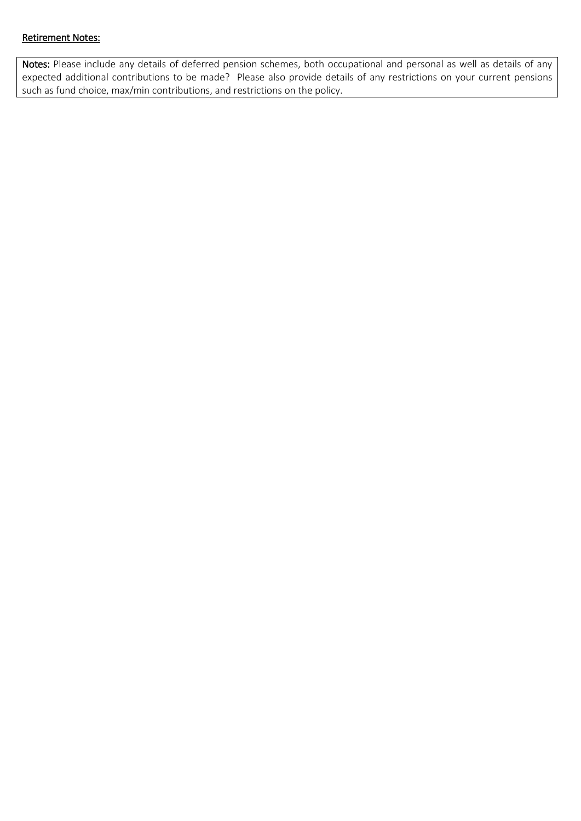## Retirement Notes:

Notes: Please include any details of deferred pension schemes, both occupational and personal as well as details of any expected additional contributions to be made? Please also provide details of any restrictions on your current pensions such as fund choice, max/min contributions, and restrictions on the policy.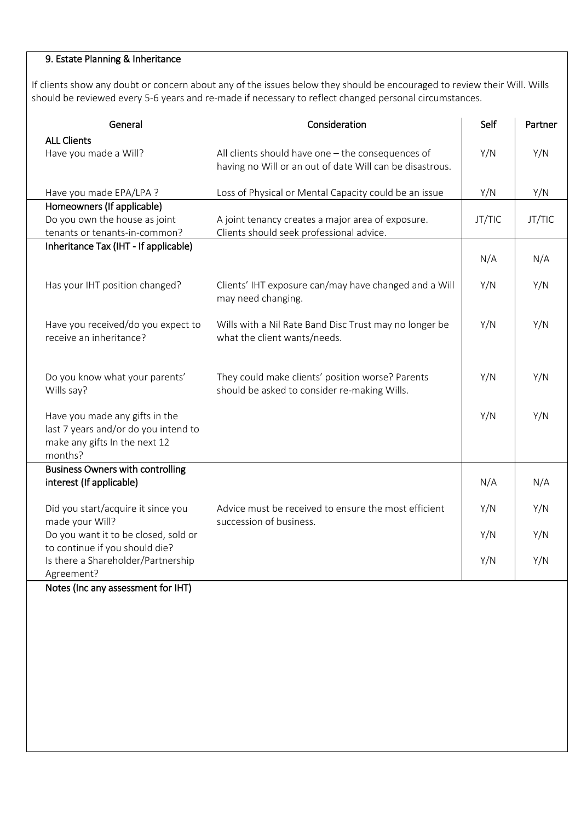# 9. Estate Planning & Inheritance

If clients show any doubt or concern about any of the issues below they should be encouraged to review their Will. Wills should be reviewed every 5-6 years and re-made if necessary to reflect changed personal circumstances.

| General                                                                                                            | Consideration                                                                                                 | Self   | Partner |
|--------------------------------------------------------------------------------------------------------------------|---------------------------------------------------------------------------------------------------------------|--------|---------|
| <b>ALL Clients</b><br>Have you made a Will?                                                                        | All clients should have one - the consequences of<br>having no Will or an out of date Will can be disastrous. | Y/N    | Y/N     |
| Have you made EPA/LPA ?                                                                                            | Loss of Physical or Mental Capacity could be an issue                                                         | Y/N    | Y/N     |
| Homeowners (If applicable)<br>Do you own the house as joint<br>tenants or tenants-in-common?                       | A joint tenancy creates a major area of exposure.<br>Clients should seek professional advice.                 | JT/TIC | JT/TIC  |
| Inheritance Tax (IHT - If applicable)                                                                              |                                                                                                               | N/A    | N/A     |
| Has your IHT position changed?                                                                                     | Clients' IHT exposure can/may have changed and a Will<br>may need changing.                                   | Y/N    | Y/N     |
| Have you received/do you expect to<br>receive an inheritance?                                                      | Wills with a Nil Rate Band Disc Trust may no longer be<br>what the client wants/needs.                        | Y/N    | Y/N     |
| Do you know what your parents'<br>Wills say?                                                                       | They could make clients' position worse? Parents<br>should be asked to consider re-making Wills.              | Y/N    | Y/N     |
| Have you made any gifts in the<br>last 7 years and/or do you intend to<br>make any gifts In the next 12<br>months? |                                                                                                               | Y/N    | Y/N     |
| <b>Business Owners with controlling</b><br>interest (If applicable)                                                |                                                                                                               | N/A    | N/A     |
| Did you start/acquire it since you<br>made your Will?                                                              | Advice must be received to ensure the most efficient<br>succession of business.                               | Y/N    | Y/N     |
| Do you want it to be closed, sold or                                                                               |                                                                                                               | Y/N    | Y/N     |
| to continue if you should die?<br>Is there a Shareholder/Partnership<br>Agreement?                                 |                                                                                                               | Y/N    | Y/N     |

Notes (Inc any assessment for IHT)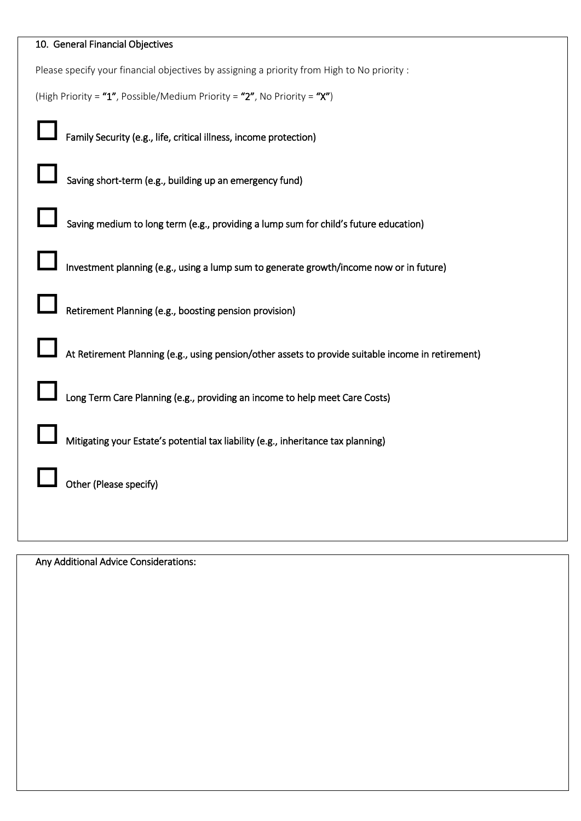| 10. General Financial Objectives                                                                   |
|----------------------------------------------------------------------------------------------------|
| Please specify your financial objectives by assigning a priority from High to No priority :        |
| (High Priority = "1", Possible/Medium Priority = "2", No Priority = "X")                           |
| Family Security (e.g., life, critical illness, income protection)                                  |
| Saving short-term (e.g., building up an emergency fund)                                            |
| Saving medium to long term (e.g., providing a lump sum for child's future education)               |
| Investment planning (e.g., using a lump sum to generate growth/income now or in future)            |
| Retirement Planning (e.g., boosting pension provision)                                             |
| At Retirement Planning (e.g., using pension/other assets to provide suitable income in retirement) |
| Long Term Care Planning (e.g., providing an income to help meet Care Costs)                        |
| Mitigating your Estate's potential tax liability (e.g., inheritance tax planning)                  |
| Other (Please specify)                                                                             |
|                                                                                                    |

Any Additional Advice Considerations: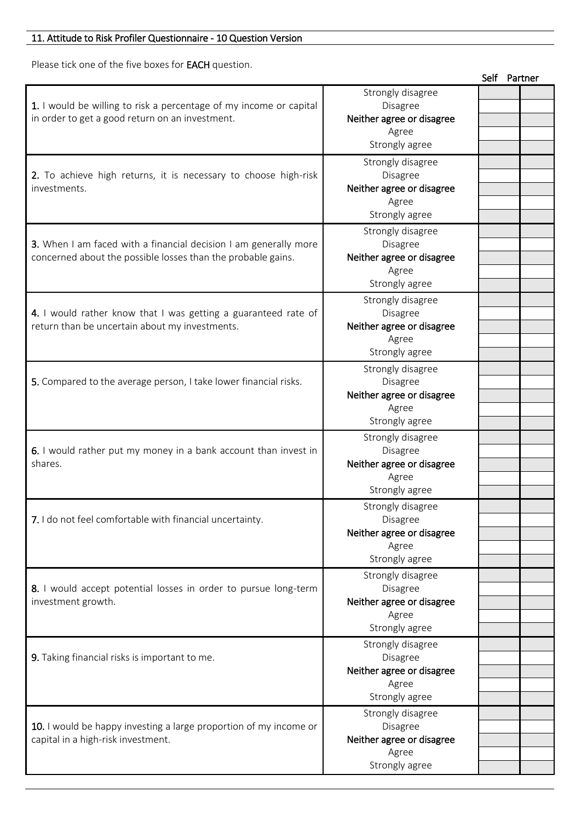# 11. Attitude to Risk Profiler Questionnaire - 10 Question Version

Please tick one of the five boxes for EACH question.

|                                                                    |                           | Self Partner |  |
|--------------------------------------------------------------------|---------------------------|--------------|--|
|                                                                    | Strongly disagree         |              |  |
| 1. I would be willing to risk a percentage of my income or capital | Disagree                  |              |  |
| in order to get a good return on an investment.                    | Neither agree or disagree |              |  |
|                                                                    | Agree                     |              |  |
|                                                                    | Strongly agree            |              |  |
|                                                                    |                           |              |  |
|                                                                    | Strongly disagree         |              |  |
| 2. To achieve high returns, it is necessary to choose high-risk    | Disagree                  |              |  |
| investments.                                                       | Neither agree or disagree |              |  |
|                                                                    | Agree                     |              |  |
|                                                                    | Strongly agree            |              |  |
|                                                                    | Strongly disagree         |              |  |
| 3. When I am faced with a financial decision I am generally more   | Disagree                  |              |  |
| concerned about the possible losses than the probable gains.       | Neither agree or disagree |              |  |
|                                                                    | Agree                     |              |  |
|                                                                    | Strongly agree            |              |  |
|                                                                    |                           |              |  |
|                                                                    | Strongly disagree         |              |  |
| 4. I would rather know that I was getting a guaranteed rate of     | Disagree                  |              |  |
| return than be uncertain about my investments.                     | Neither agree or disagree |              |  |
|                                                                    | Agree                     |              |  |
|                                                                    | Strongly agree            |              |  |
|                                                                    | Strongly disagree         |              |  |
| 5. Compared to the average person, I take lower financial risks.   | Disagree                  |              |  |
|                                                                    | Neither agree or disagree |              |  |
|                                                                    | Agree                     |              |  |
|                                                                    | Strongly agree            |              |  |
|                                                                    | Strongly disagree         |              |  |
| 6. I would rather put my money in a bank account than invest in    | Disagree                  |              |  |
| shares.                                                            |                           |              |  |
|                                                                    | Neither agree or disagree |              |  |
|                                                                    | Agree                     |              |  |
|                                                                    | Strongly agree            |              |  |
|                                                                    | Strongly disagree         |              |  |
| 7. I do not feel comfortable with financial uncertainty.           | Disagree                  |              |  |
|                                                                    | Neither agree or disagree |              |  |
|                                                                    | Agree                     |              |  |
|                                                                    | Strongly agree            |              |  |
|                                                                    | Strongly disagree         |              |  |
| 8. I would accept potential losses in order to pursue long-term    | Disagree                  |              |  |
| investment growth.                                                 | Neither agree or disagree |              |  |
|                                                                    | Agree                     |              |  |
|                                                                    | Strongly agree            |              |  |
|                                                                    |                           |              |  |
|                                                                    | Strongly disagree         |              |  |
| 9. Taking financial risks is important to me.                      | Disagree                  |              |  |
|                                                                    | Neither agree or disagree |              |  |
|                                                                    | Agree                     |              |  |
|                                                                    | Strongly agree            |              |  |
|                                                                    | Strongly disagree         |              |  |
| 10. I would be happy investing a large proportion of my income or  | Disagree                  |              |  |
| capital in a high-risk investment.                                 | Neither agree or disagree |              |  |
|                                                                    | Agree                     |              |  |
|                                                                    | Strongly agree            |              |  |
|                                                                    |                           |              |  |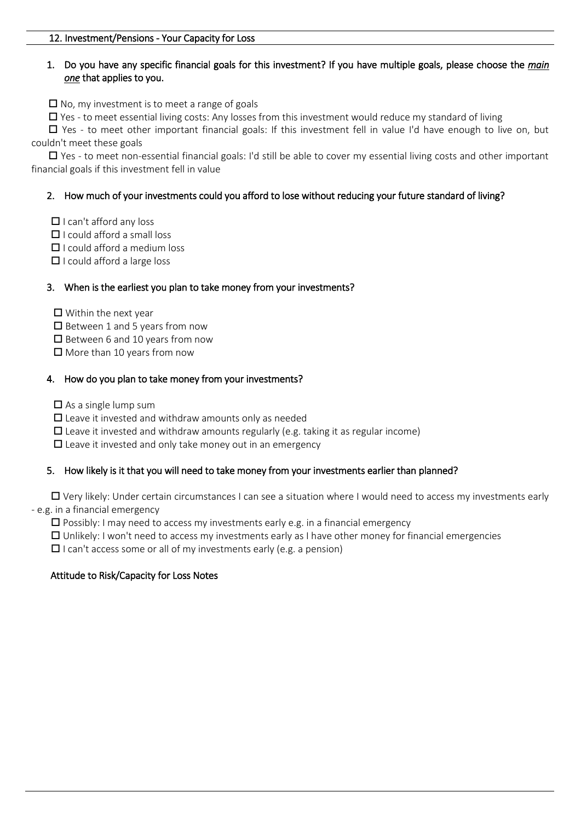## 1. Do you have any specific financial goals for this investment? If you have multiple goals, please choose the *main one* that applies to you.

 $\Box$  No, my investment is to meet a range of goals

 $\Box$  Yes - to meet essential living costs: Any losses from this investment would reduce my standard of living

 $\Box$  Yes - to meet other important financial goals: If this investment fell in value I'd have enough to live on, but couldn't meet these goals

 $\Box$  Yes - to meet non-essential financial goals: I'd still be able to cover my essential living costs and other important financial goals if this investment fell in value

## 2. How much of your investments could you afford to lose without reducing your future standard of living?

- $\Box$  I can't afford any loss
- $\Box$  I could afford a small loss
- $\Box$  I could afford a medium loss
- $\Box$  I could afford a large loss

## 3. When is the earliest you plan to take money from your investments?

- $\Box$  Within the next year
- $\square$  Between 1 and 5 years from now
- $\square$  Between 6 and 10 years from now
- $\Box$  More than 10 years from now

## 4. How do you plan to take money from your investments?

- $\square$  As a single lump sum
- $\square$  Leave it invested and withdraw amounts only as needed
- $\square$  Leave it invested and withdraw amounts regularly (e.g. taking it as regular income)
- $\square$  Leave it invested and only take money out in an emergency

## 5. How likely is it that you will need to take money from your investments earlier than planned?

 Very likely: Under certain circumstances I can see a situation where I would need to access my investments early - e.g. in a financial emergency

 $\square$  Possibly: I may need to access my investments early e.g. in a financial emergency

 $\Box$  Unlikely: I won't need to access my investments early as I have other money for financial emergencies

 $\Box$  I can't access some or all of my investments early (e.g. a pension)

## Attitude to Risk/Capacity for Loss Notes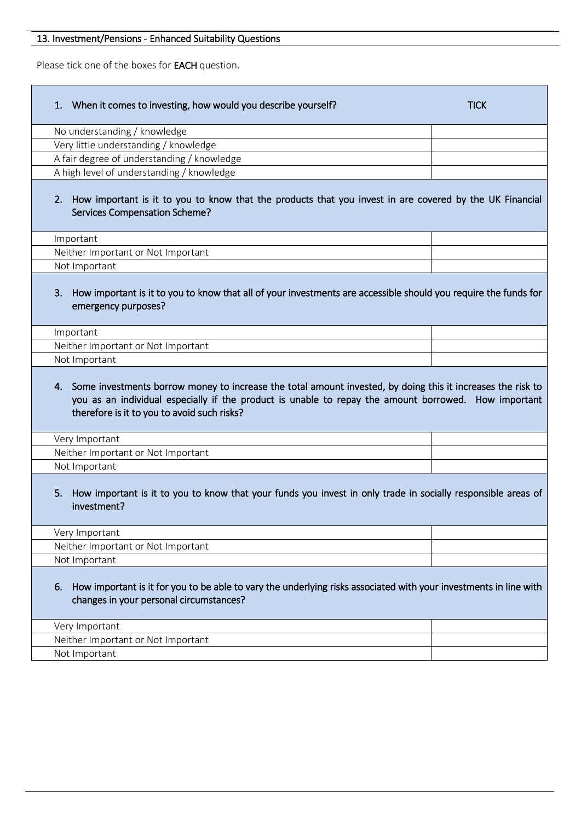# 13. Investment/Pensions - Enhanced Suitability Questions

Please tick one of the boxes for EACH question.

| When it comes to investing, how would you describe yourself?<br>1.                                                                                                                                                                                                    | <b>TICK</b> |  |  |  |
|-----------------------------------------------------------------------------------------------------------------------------------------------------------------------------------------------------------------------------------------------------------------------|-------------|--|--|--|
| No understanding / knowledge                                                                                                                                                                                                                                          |             |  |  |  |
| Very little understanding / knowledge                                                                                                                                                                                                                                 |             |  |  |  |
| A fair degree of understanding / knowledge                                                                                                                                                                                                                            |             |  |  |  |
| A high level of understanding / knowledge                                                                                                                                                                                                                             |             |  |  |  |
| 2. How important is it to you to know that the products that you invest in are covered by the UK Financial<br>Services Compensation Scheme?                                                                                                                           |             |  |  |  |
| Important                                                                                                                                                                                                                                                             |             |  |  |  |
| Neither Important or Not Important                                                                                                                                                                                                                                    |             |  |  |  |
| Not Important                                                                                                                                                                                                                                                         |             |  |  |  |
| How important is it to you to know that all of your investments are accessible should you require the funds for<br>3.<br>emergency purposes?                                                                                                                          |             |  |  |  |
| Important                                                                                                                                                                                                                                                             |             |  |  |  |
| Neither Important or Not Important                                                                                                                                                                                                                                    |             |  |  |  |
| Not Important                                                                                                                                                                                                                                                         |             |  |  |  |
| 4. Some investments borrow money to increase the total amount invested, by doing this it increases the risk to<br>you as an individual especially if the product is unable to repay the amount borrowed. How important<br>therefore is it to you to avoid such risks? |             |  |  |  |
| Very Important                                                                                                                                                                                                                                                        |             |  |  |  |
| Neither Important or Not Important                                                                                                                                                                                                                                    |             |  |  |  |
| Not Important                                                                                                                                                                                                                                                         |             |  |  |  |
| How important is it to you to know that your funds you invest in only trade in socially responsible areas of<br>5.<br>investment?                                                                                                                                     |             |  |  |  |
| Very Important                                                                                                                                                                                                                                                        |             |  |  |  |
| Neither Important or Not Important                                                                                                                                                                                                                                    |             |  |  |  |
| Not Important                                                                                                                                                                                                                                                         |             |  |  |  |
| How important is it for you to be able to vary the underlying risks associated with your investments in line with<br>6.<br>changes in your personal circumstances?                                                                                                    |             |  |  |  |
|                                                                                                                                                                                                                                                                       |             |  |  |  |
| Very Important                                                                                                                                                                                                                                                        |             |  |  |  |
| Neither Important or Not Important                                                                                                                                                                                                                                    |             |  |  |  |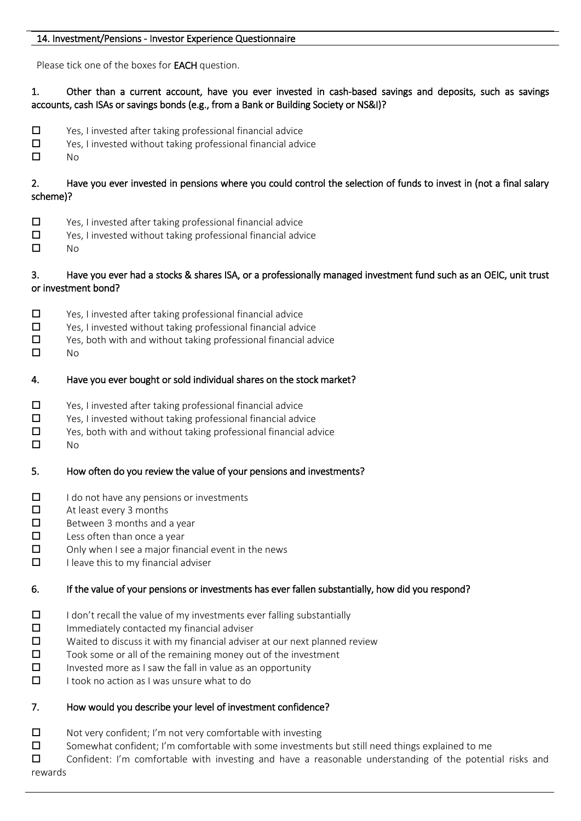#### 14. Investment/Pensions - Investor Experience Questionnaire

Please tick one of the boxes for EACH question.

## 1. Other than a current account, have you ever invested in cash-based savings and deposits, such as savings accounts, cash ISAs or savings bonds (e.g., from a Bank or Building Society or NS&I)?

- $\square$  Yes, I invested after taking professional financial advice
- $\square$  Yes, I invested without taking professional financial advice<br> $\square$  No
- $No$

2. Have you ever invested in pensions where you could control the selection of funds to invest in (not a final salary scheme)?

- □ Yes, I invested after taking professional financial advice
- $\square$  Yes, I invested without taking professional financial advice
- $\square$  No

## 3. Have you ever had a stocks & shares ISA, or a professionally managed investment fund such as an OEIC, unit trust or investment bond?

- $\square$  Yes, I invested after taking professional financial advice
- $\square$  Yes, I invested without taking professional financial advice
- $\square$  Yes, both with and without taking professional financial advice
- $\square$  No

## 4. Have you ever bought or sold individual shares on the stock market?

- □ Yes, I invested after taking professional financial advice
- $\square$  Yes, I invested without taking professional financial advice
- $\square$  Yes, both with and without taking professional financial advice
- $\Box$  No

# 5. How often do you review the value of your pensions and investments?

- $\Box$  I do not have any pensions or investments
- $\Box$  At least every 3 months
- $\Box$  Between 3 months and a year
- $\square$  Less often than once a year
- $\square$  Only when I see a major financial event in the news
- $\Box$  I leave this to my financial adviser

# 6. If the value of your pensions or investments has ever fallen substantially, how did you respond?

- $\Box$  I don't recall the value of my investments ever falling substantially
- $\square$  Immediately contacted my financial adviser
- $\square$  Waited to discuss it with my financial adviser at our next planned review
- $\square$  Took some or all of the remaining money out of the investment
- $\square$  Invested more as I saw the fall in value as an opportunity
- $\Box$  I took no action as I was unsure what to do

# 7. How would you describe your level of investment confidence?

- $\square$  Not very confident; I'm not very comfortable with investing
- $\square$  Somewhat confident; I'm comfortable with some investments but still need things explained to me

 Confident: I'm comfortable with investing and have a reasonable understanding of the potential risks and rewards